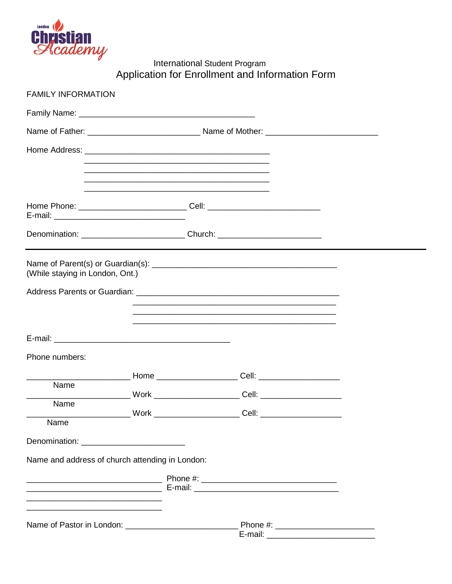

International Student Program<br>Application for Enrollment and Information Form

| <b>FAMILY INFORMATION</b>                                                                                             |                |                                                                                                                                                                                                                                                |  |
|-----------------------------------------------------------------------------------------------------------------------|----------------|------------------------------------------------------------------------------------------------------------------------------------------------------------------------------------------------------------------------------------------------|--|
|                                                                                                                       |                |                                                                                                                                                                                                                                                |  |
|                                                                                                                       |                |                                                                                                                                                                                                                                                |  |
|                                                                                                                       |                |                                                                                                                                                                                                                                                |  |
|                                                                                                                       |                |                                                                                                                                                                                                                                                |  |
|                                                                                                                       |                |                                                                                                                                                                                                                                                |  |
| Home Phone: ________________________________Cell: ______________________________                                      |                |                                                                                                                                                                                                                                                |  |
| Denomination: _______________________________Church: ___________________________                                      |                |                                                                                                                                                                                                                                                |  |
| (While staying in London, Ont.)                                                                                       |                |                                                                                                                                                                                                                                                |  |
|                                                                                                                       |                |                                                                                                                                                                                                                                                |  |
|                                                                                                                       |                | <u> 1990 - Jan James James James James James James James James James James James James James James James James Ja</u><br><u> 1989 - Johann Harry Harry Harry Harry Harry Harry Harry Harry Harry Harry Harry Harry Harry Harry Harry Harry</u> |  |
|                                                                                                                       |                | <u> 1989 - Jan James James James James James James James James James James James James James James James James J</u>                                                                                                                           |  |
| Phone numbers:                                                                                                        |                |                                                                                                                                                                                                                                                |  |
|                                                                                                                       |                |                                                                                                                                                                                                                                                |  |
| Name                                                                                                                  |                |                                                                                                                                                                                                                                                |  |
| Name                                                                                                                  | $\_$ Work $\_$ |                                                                                                                                                                                                                                                |  |
| Name                                                                                                                  |                |                                                                                                                                                                                                                                                |  |
|                                                                                                                       |                |                                                                                                                                                                                                                                                |  |
| Name and address of church attending in London:                                                                       |                |                                                                                                                                                                                                                                                |  |
|                                                                                                                       |                |                                                                                                                                                                                                                                                |  |
| <u> 1989 - Johann John Stein, mars an deutscher Stein und der Stein und der Stein und der Stein und der Stein und</u> |                |                                                                                                                                                                                                                                                |  |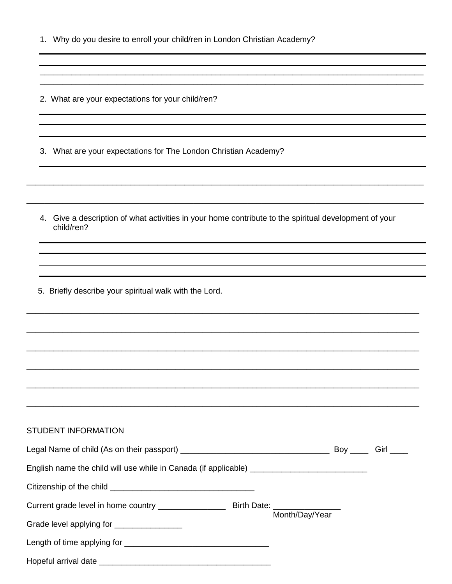|    | 1. Why do you desire to enroll your child/ren in London Christian Academy?                                          |  |  |
|----|---------------------------------------------------------------------------------------------------------------------|--|--|
|    |                                                                                                                     |  |  |
|    | 2. What are your expectations for your child/ren?                                                                   |  |  |
| З. | What are your expectations for The London Christian Academy?                                                        |  |  |
|    | 4. Give a description of what activities in your home contribute to the spiritual development of your<br>child/ren? |  |  |
|    |                                                                                                                     |  |  |
|    | 5. Briefly describe your spiritual walk with the Lord.                                                              |  |  |
|    |                                                                                                                     |  |  |
|    | <b>STUDENT INFORMATION</b>                                                                                          |  |  |
|    |                                                                                                                     |  |  |
|    |                                                                                                                     |  |  |
|    |                                                                                                                     |  |  |
|    | Grade level applying for ________________                                                                           |  |  |
|    |                                                                                                                     |  |  |
|    |                                                                                                                     |  |  |